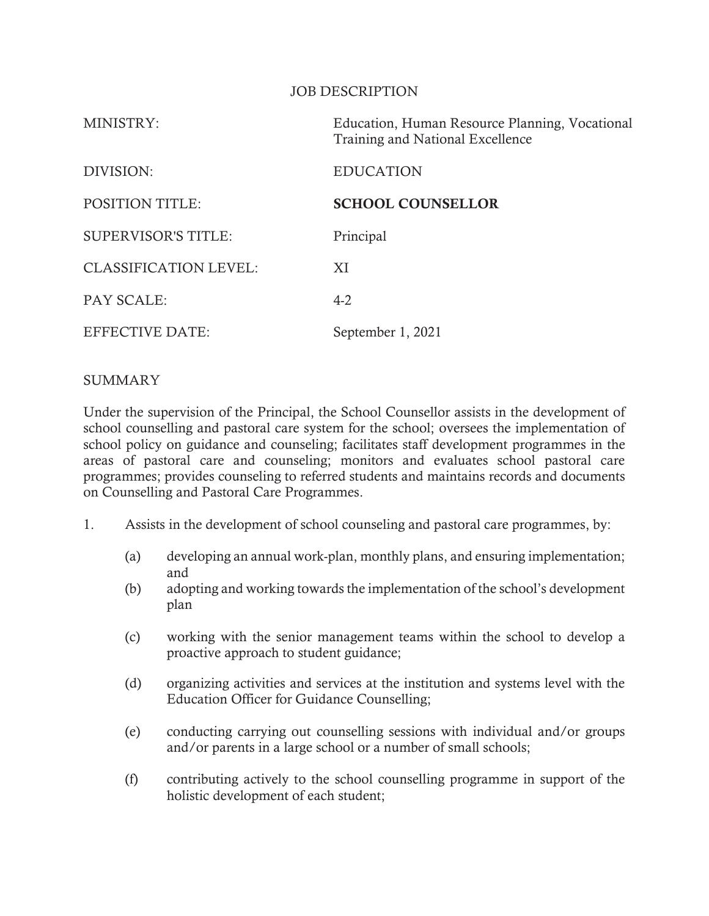#### JOB DESCRIPTION

| MINISTRY:                    | Education, Human Resource Planning, Vocational<br>Training and National Excellence |
|------------------------------|------------------------------------------------------------------------------------|
| DIVISION:                    | <b>EDUCATION</b>                                                                   |
| <b>POSITION TITLE:</b>       | <b>SCHOOL COUNSELLOR</b>                                                           |
| <b>SUPERVISOR'S TITLE:</b>   | Principal                                                                          |
| <b>CLASSIFICATION LEVEL:</b> | XI                                                                                 |
| <b>PAY SCALE:</b>            | $4-2$                                                                              |
| <b>EFFECTIVE DATE:</b>       | September 1, 2021                                                                  |

## SUMMARY

Under the supervision of the Principal, the School Counsellor assists in the development of school counselling and pastoral care system for the school; oversees the implementation of school policy on guidance and counseling; facilitates staff development programmes in the areas of pastoral care and counseling; monitors and evaluates school pastoral care programmes; provides counseling to referred students and maintains records and documents on Counselling and Pastoral Care Programmes.

- 1. Assists in the development of school counseling and pastoral care programmes, by:
	- (a) developing an annual work-plan, monthly plans, and ensuring implementation; and
	- (b) adopting and working towards the implementation of the school's development plan
	- (c) working with the senior management teams within the school to develop a proactive approach to student guidance;
	- (d) organizing activities and services at the institution and systems level with the Education Officer for Guidance Counselling;
	- (e) conducting carrying out counselling sessions with individual and/or groups and/or parents in a large school or a number of small schools;
	- (f) contributing actively to the school counselling programme in support of the holistic development of each student;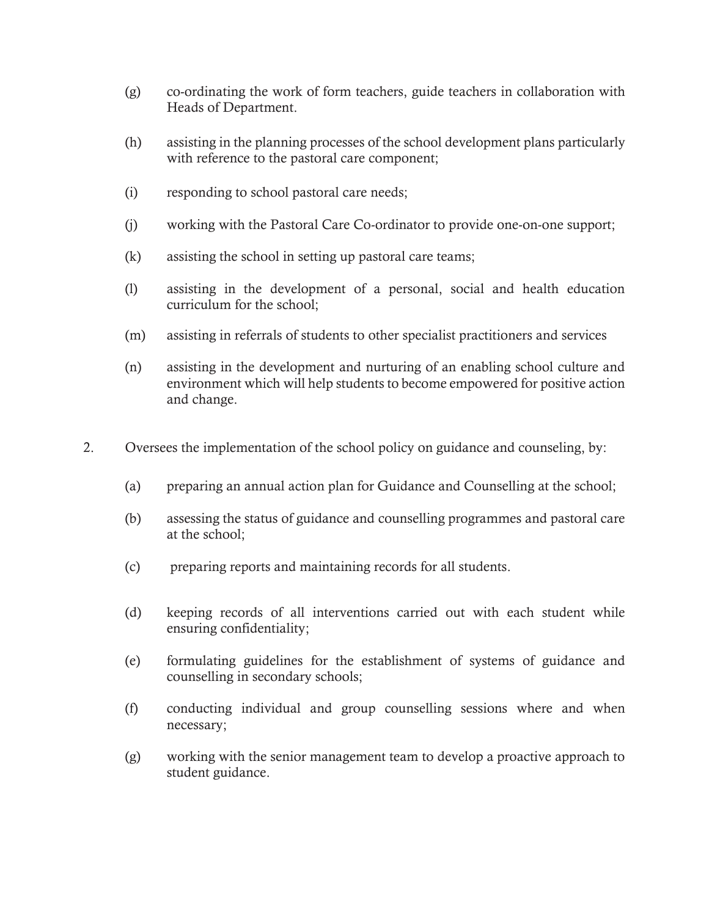- (g) co-ordinating the work of form teachers, guide teachers in collaboration with Heads of Department.
- (h) assisting in the planning processes of the school development plans particularly with reference to the pastoral care component;
- (i) responding to school pastoral care needs;
- (j) working with the Pastoral Care Co-ordinator to provide one-on-one support;
- (k) assisting the school in setting up pastoral care teams;
- (l) assisting in the development of a personal, social and health education curriculum for the school;
- (m) assisting in referrals of students to other specialist practitioners and services
- (n) assisting in the development and nurturing of an enabling school culture and environment which will help students to become empowered for positive action and change.
- 2. Oversees the implementation of the school policy on guidance and counseling, by:
	- (a) preparing an annual action plan for Guidance and Counselling at the school;
	- (b) assessing the status of guidance and counselling programmes and pastoral care at the school;
	- (c) preparing reports and maintaining records for all students.
	- (d) keeping records of all interventions carried out with each student while ensuring confidentiality;
	- (e) formulating guidelines for the establishment of systems of guidance and counselling in secondary schools;
	- (f) conducting individual and group counselling sessions where and when necessary;
	- (g) working with the senior management team to develop a proactive approach to student guidance.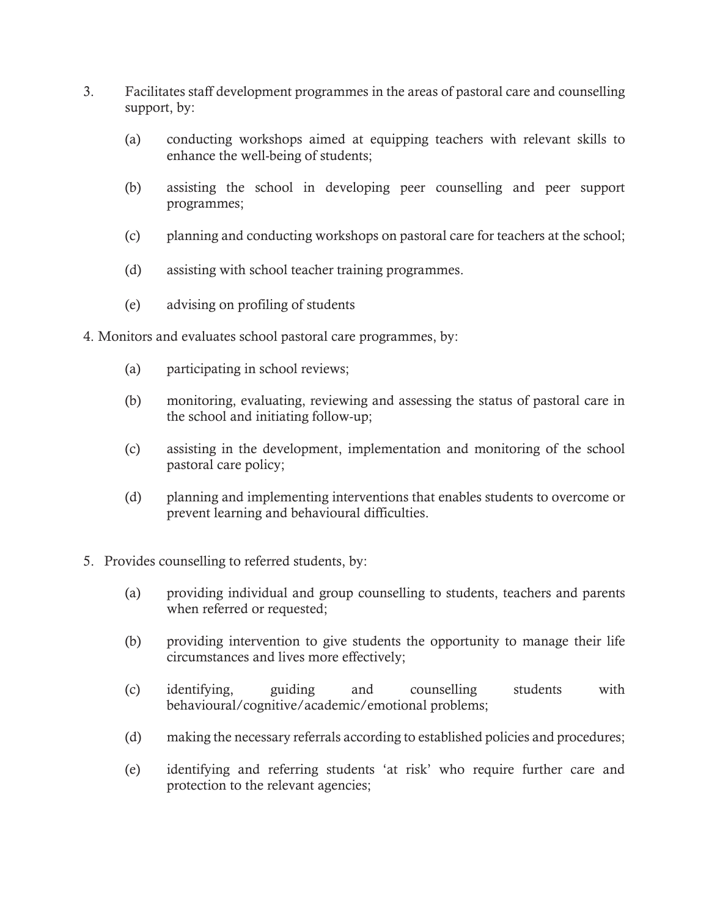- 3. Facilitates staff development programmes in the areas of pastoral care and counselling support, by:
	- (a) conducting workshops aimed at equipping teachers with relevant skills to enhance the well-being of students;
	- (b) assisting the school in developing peer counselling and peer support programmes;
	- (c) planning and conducting workshops on pastoral care for teachers at the school;
	- (d) assisting with school teacher training programmes.
	- (e) advising on profiling of students
- 4. Monitors and evaluates school pastoral care programmes, by:
	- (a) participating in school reviews;
	- (b) monitoring, evaluating, reviewing and assessing the status of pastoral care in the school and initiating follow-up;
	- (c) assisting in the development, implementation and monitoring of the school pastoral care policy;
	- (d) planning and implementing interventions that enables students to overcome or prevent learning and behavioural difficulties.
- 5. Provides counselling to referred students, by:
	- (a) providing individual and group counselling to students, teachers and parents when referred or requested;
	- (b) providing intervention to give students the opportunity to manage their life circumstances and lives more effectively;
	- (c) identifying, guiding and counselling students with behavioural/cognitive/academic/emotional problems;
	- (d) making the necessary referrals according to established policies and procedures;
	- (e) identifying and referring students 'at risk' who require further care and protection to the relevant agencies;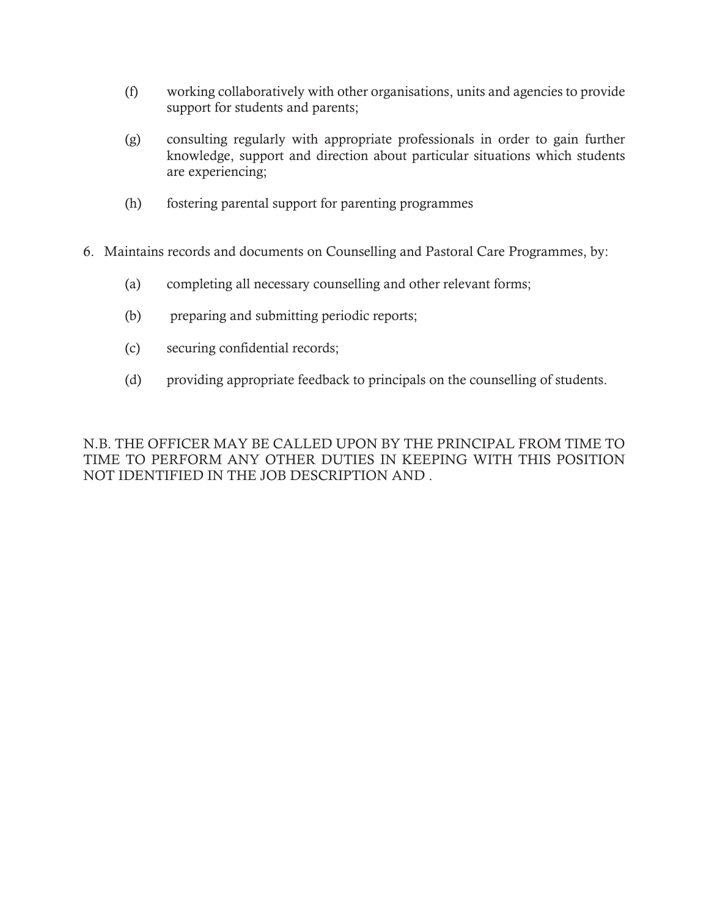- (f) working collaboratively with other organisations, units and agencies to provide support for students and parents;
- (g) consulting regularly with appropriate professionals in order to gain further knowledge, support and direction about particular situations which students are experiencing;
- (h) fostering parental support for parenting programmes
- 6. Maintains records and documents on Counselling and Pastoral Care Programmes, by:
	- (a) completing all necessary counselling and other relevant forms;
	- (b) preparing and submitting periodic reports;
	- (c) securing confidential records;
	- (d) providing appropriate feedback to principals on the counselling of students.

N.B. THE OFFICER MAY BE CALLED UPON BY THE PRINCIPAL FROM TIME TO TIME TO PERFORM ANY OTHER DUTIES IN KEEPING WITH THIS POSITION NOT IDENTIFIED IN THE JOB DESCRIPTION AND .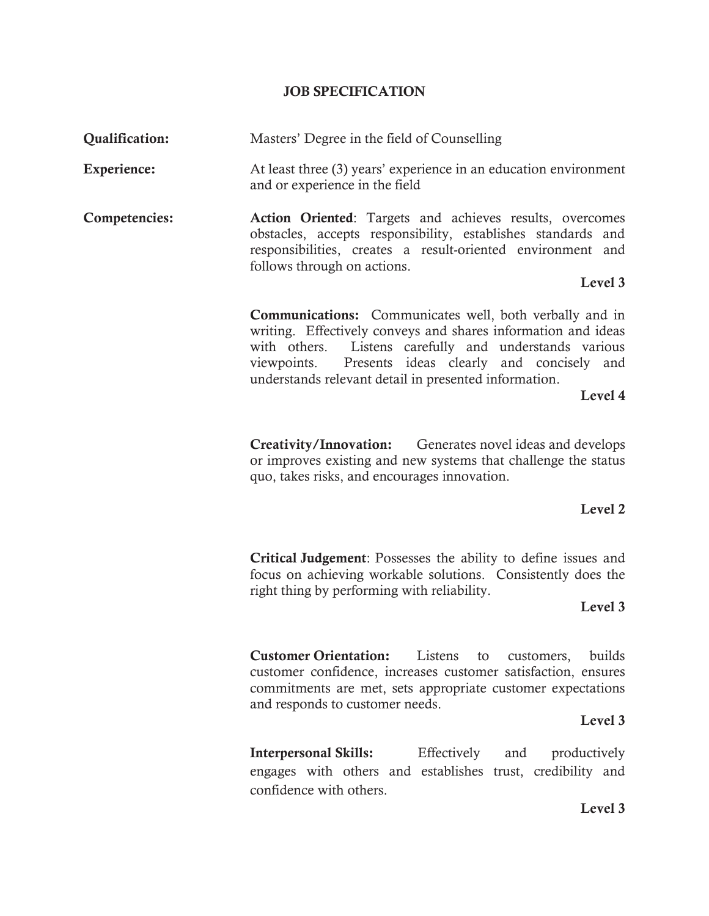# JOB SPECIFICATION

| <b>Qualification:</b> | Masters' Degree in the field of Counselling                                                                                                                                                                                                                                                                      |
|-----------------------|------------------------------------------------------------------------------------------------------------------------------------------------------------------------------------------------------------------------------------------------------------------------------------------------------------------|
| Experience:           | At least three (3) years' experience in an education environment<br>and or experience in the field                                                                                                                                                                                                               |
| Competencies:         | Action Oriented: Targets and achieves results, overcomes<br>obstacles, accepts responsibility, establishes standards and<br>responsibilities, creates a result-oriented environment and<br>follows through on actions.                                                                                           |
|                       | Level 3                                                                                                                                                                                                                                                                                                          |
|                       | <b>Communications:</b> Communicates well, both verbally and in<br>writing. Effectively conveys and shares information and ideas<br>Listens carefully and understands various<br>with others.<br>Presents ideas clearly and concisely and<br>viewpoints.<br>understands relevant detail in presented information. |
| Level 4               |                                                                                                                                                                                                                                                                                                                  |
|                       | <b>Creativity/Innovation:</b> Generates novel ideas and develops<br>or improves existing and new systems that challenge the status<br>quo, takes risks, and encourages innovation.                                                                                                                               |
|                       | Level 2                                                                                                                                                                                                                                                                                                          |
|                       | <b>Critical Judgement:</b> Possesses the ability to define issues and<br>focus on achieving workable solutions. Consistently does the<br>right thing by performing with reliability.<br>Level 3                                                                                                                  |
|                       | <b>Customer Orientation:</b><br>builds<br>Listens<br>customers,<br>to<br>customer confidence, increases customer satisfaction, ensures<br>commitments are met, sets appropriate customer expectations<br>and responds to customer needs.<br>Level 3                                                              |
|                       | <b>Interpersonal Skills:</b><br>Effectively<br>productively<br>and<br>engages with others and establishes trust, credibility and<br>confidence with others.                                                                                                                                                      |
|                       | $I_{\alpha v}$ <sup>1</sup>                                                                                                                                                                                                                                                                                      |

Level 3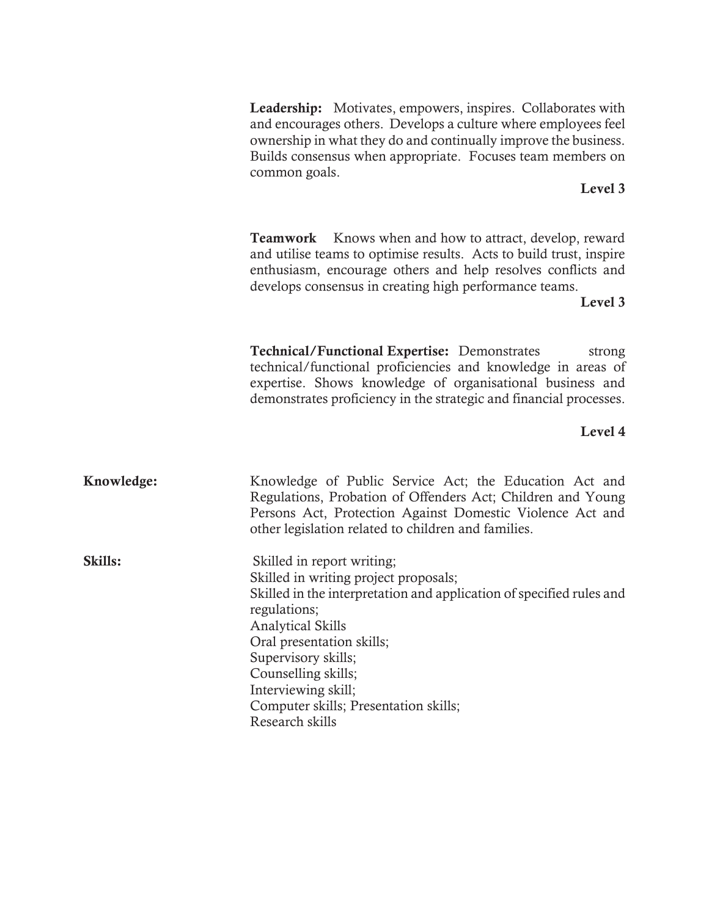Leadership: Motivates, empowers, inspires. Collaborates with and encourages others. Develops a culture where employees feel ownership in what they do and continually improve the business. Builds consensus when appropriate. Focuses team members on common goals.

### Level 3

**Teamwork** Knows when and how to attract, develop, reward and utilise teams to optimise results. Acts to build trust, inspire enthusiasm, encourage others and help resolves conflicts and develops consensus in creating high performance teams.

Level 3

Technical/Functional Expertise: Demonstrates strong technical/functional proficiencies and knowledge in areas of expertise. Shows knowledge of organisational business and demonstrates proficiency in the strategic and financial processes.

### Level 4

Knowledge: Knowledge of Public Service Act; the Education Act and Regulations, Probation of Offenders Act; Children and Young Persons Act, Protection Against Domestic Violence Act and other legislation related to children and families.

Skills: Skilled in report writing; Skilled in writing project proposals; Skilled in the interpretation and application of specified rules and regulations; Analytical Skills Oral presentation skills; Supervisory skills; Counselling skills; Interviewing skill; Computer skills; Presentation skills; Research skills